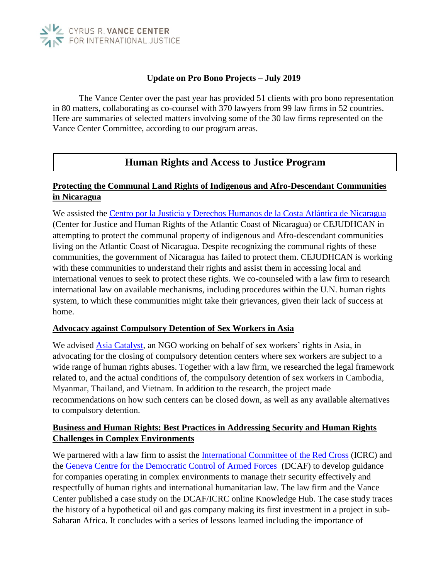

#### **Update on Pro Bono Projects – July 2019**

The Vance Center over the past year has provided 51 clients with pro bono representation in 80 matters, collaborating as co-counsel with 370 lawyers from 99 law firms in 52 countries. Here are summaries of selected matters involving some of the 30 law firms represented on the Vance Center Committee, according to our program areas.

# **Human Rights and Access to Justice Program**

# **Protecting the Communal Land Rights of Indigenous and Afro-Descendant Communities in Nicaragua**

We assisted the [Centro por la Justicia y Derechos Humanos de la Costa Atlántica de Nicaragua](https://cejudhcan.wixsite.com/cejudhcan/english)  (Center for Justice and Human Rights of the Atlantic Coast of Nicaragua) or CEJUDHCAN in attempting to protect the communal property of indigenous and Afro-descendant communities living on the Atlantic Coast of Nicaragua. Despite recognizing the communal rights of these communities, the government of Nicaragua has failed to protect them. CEJUDHCAN is working with these communities to understand their rights and assist them in accessing local and international venues to seek to protect these rights. We co-counseled with a law firm to research international law on available mechanisms, including procedures within the U.N. human rights system, to which these communities might take their grievances, given their lack of success at home.

#### **Advocacy against Compulsory Detention of Sex Workers in Asia**

We advised **Asia Catalyst**, an NGO working on behalf of sex workers' rights in Asia, in advocating for the closing of compulsory detention centers where sex workers are subject to a wide range of human rights abuses. Together with a law firm, we researched the legal framework related to, and the actual conditions of, the compulsory detention of sex workers in Cambodia, Myanmar, Thailand, and Vietnam*.* In addition to the research, the project made recommendations on how such centers can be closed down, as well as any available alternatives to compulsory detention.

#### **Business and Human Rights: Best Practices in Addressing Security and Human Rights Challenges in Complex Environments**

We partnered with a law firm to assist the [International Committee of the Red Cross](https://www.icrc.org/en) (ICRC) and the [Geneva Centre for the Democratic Control of Armed Forces](https://www.dcaf.ch/) (DCAF) to develop guidance for companies operating in complex environments to manage their security effectively and respectfully of human rights and international humanitarian law. The law firm and the Vance Center published a case study on the DCAF/ICRC online Knowledge Hub. The case study traces the history of a hypothetical oil and gas company making its first investment in a project in sub-Saharan Africa. It concludes with a series of lessons learned including the importance of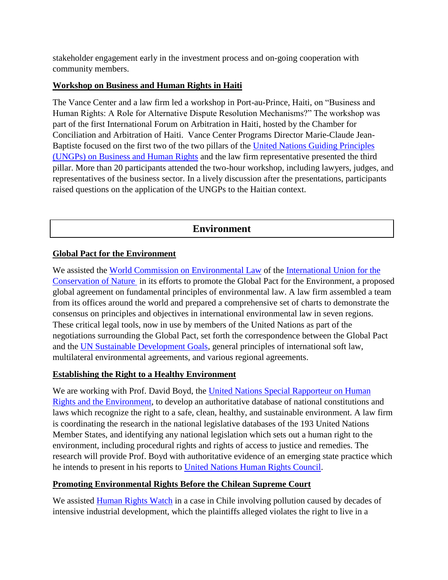stakeholder engagement early in the investment process and on-going cooperation with community members.

#### **Workshop on Business and Human Rights in Haiti**

The Vance Center and a law firm led a workshop in Port-au-Prince, Haiti, on "Business and Human Rights: A Role for Alternative Dispute Resolution Mechanisms?" The workshop was part of the first International Forum on Arbitration in Haiti, hosted by the Chamber for Conciliation and Arbitration of Haiti. Vance Center Programs Director Marie-Claude Jean-Baptiste focused on the first two of the two pillars of the [United Nations Guiding Principles](https://www.business-humanrights.org/en/un-guiding-principles)  [\(UNGPs\) on Business and Human Rights](https://www.business-humanrights.org/en/un-guiding-principles) and the law firm representative presented the third pillar. More than 20 participants attended the two-hour workshop, including lawyers, judges, and representatives of the business sector. In a lively discussion after the presentations, participants raised questions on the application of the UNGPs to the Haitian context.

# **Environment**

## **Global Pact for the Environment**

We assisted the [World Commission on Environmental Law](https://www.iucn.org/commissions/world-commission-environmental-law) of the [International Union for the](https://www.iucn.org/about)  [Conservation of Nature](https://www.iucn.org/about) in its efforts to promote the Global Pact for the Environment, a proposed global agreement on fundamental principles of environmental law. A law firm assembled a team from its offices around the world and prepared a comprehensive set of charts to demonstrate the consensus on principles and objectives in international environmental law in seven regions. These critical legal tools, now in use by members of the United Nations as part of the negotiations surrounding the Global Pact, set forth the correspondence between the Global Pact and the [UN Sustainable Development Goals,](https://www.un.org/sustainabledevelopment/sustainable-development-goals/) general principles of international soft law, multilateral environmental agreements, and various regional agreements.

#### **Establishing the Right to a Healthy Environment**

We are working with Prof. David Boyd, the [United Nations Special Rapporteur on Human](https://www.ohchr.org/EN/Issues/Environment/SREnvironment/Pages/DavidBoyd.aspx)  [Rights and the Environment,](https://www.ohchr.org/EN/Issues/Environment/SREnvironment/Pages/DavidBoyd.aspx) to develop an authoritative database of national constitutions and laws which recognize the right to a safe, clean, healthy, and sustainable environment. A law firm is coordinating the research in the national legislative databases of the 193 United Nations Member States, and identifying any national legislation which sets out a human right to the environment, including procedural rights and rights of access to justice and remedies. The research will provide Prof. Boyd with authoritative evidence of an emerging state practice which he intends to present in his reports to [United Nations Human Rights Council.](https://www.ohchr.org/en/hrbodies/hrc/pages/home.aspx)

#### **Promoting Environmental Rights Before the Chilean Supreme Court**

We assisted [Human Rights Watch](https://www.hrw.org/) in a case in Chile involving pollution caused by decades of intensive industrial development, which the plaintiffs alleged violates the right to live in a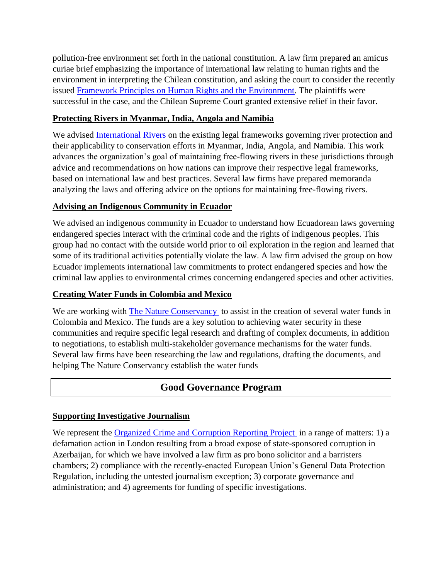pollution-free environment set forth in the national constitution. A law firm prepared an amicus curiae brief emphasizing the importance of international law relating to human rights and the environment in interpreting the Chilean constitution, and asking the court to consider the recently issued [Framework Principles on Human Rights and the Environment.](https://www.ohchr.org/EN/Issues/Environment/SREnvironment/Pages/FrameworkPrinciplesReport.aspx) The plaintiffs were successful in the case, and the Chilean Supreme Court granted extensive relief in their favor.

## **Protecting Rivers in Myanmar, India, Angola and Namibia**

We advised [International Rivers](https://www.internationalrivers.org/) on the existing legal frameworks governing river protection and their applicability to conservation efforts in Myanmar, India, Angola, and Namibia. This work advances the organization's goal of maintaining free-flowing rivers in these jurisdictions through advice and recommendations on how nations can improve their respective legal frameworks, based on international law and best practices. Several law firms have prepared memoranda analyzing the laws and offering advice on the options for maintaining free-flowing rivers.

#### **Advising an Indigenous Community in Ecuador**

We advised an indigenous community in Ecuador to understand how Ecuadorean laws governing endangered species interact with the criminal code and the rights of indigenous peoples. This group had no contact with the outside world prior to oil exploration in the region and learned that some of its traditional activities potentially violate the law. A law firm advised the group on how Ecuador implements international law commitments to protect endangered species and how the criminal law applies to environmental crimes concerning endangered species and other activities.

# **Creating Water Funds in Colombia and Mexico**

We are working with [The Nature Conservancy](https://www.nature.org/en-us/) to assist in the creation of several water funds in Colombia and Mexico. The funds are a key solution to achieving water security in these communities and require specific legal research and drafting of complex documents, in addition to negotiations, to establish multi-stakeholder governance mechanisms for the water funds. Several law firms have been researching the law and regulations, drafting the documents, and helping The Nature Conservancy establish the water funds

# **Good Governance Program**

#### **Supporting Investigative Journalism**

We represent the [Organized Crime and Corruption Reporting Project](https://www.occrp.org/en) in a range of matters: 1) a defamation action in London resulting from a broad expose of state-sponsored corruption in Azerbaijan, for which we have involved a law firm as pro bono solicitor and a barristers chambers; 2) compliance with the recently-enacted European Union's General Data Protection Regulation, including the untested journalism exception; 3) corporate governance and administration; and 4) agreements for funding of specific investigations.